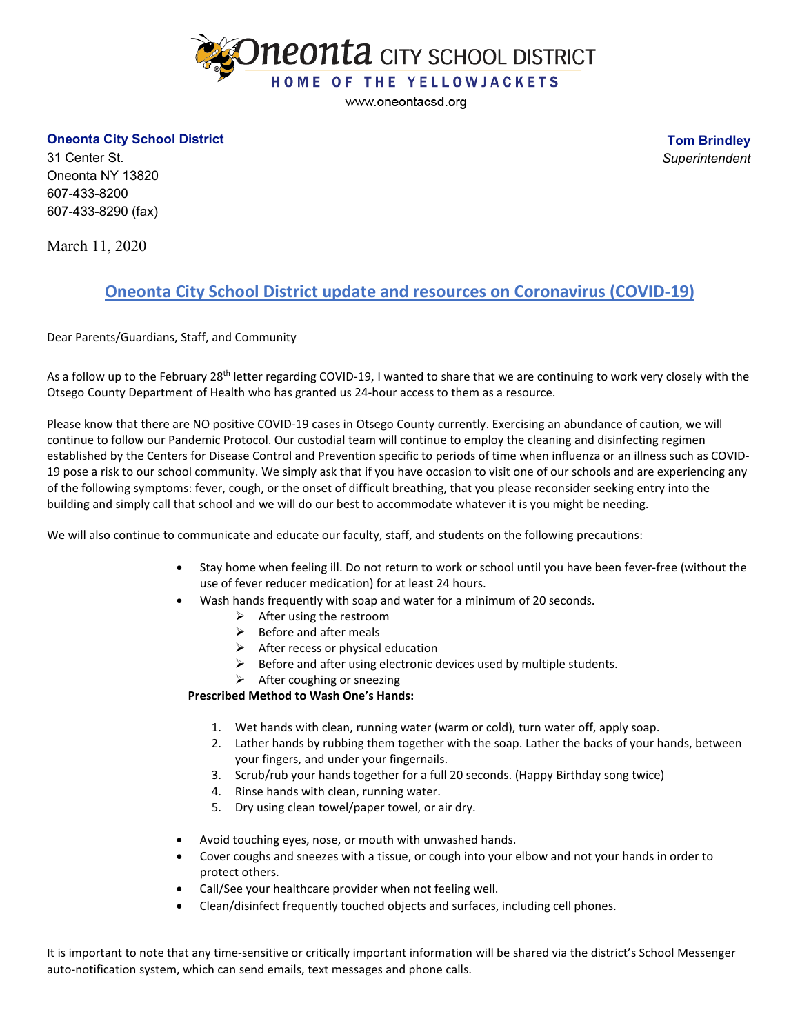

www.oneontacsd.org

## **Oneonta City School District**

**Tom Brindley** *Superintendent*

31 Center St. Oneonta NY 13820 607-433-8200 607-433-8290 (fax)

March 11, 2020

## **Oneonta City School District update and resources on Coronavirus (COVID-19)**

Dear Parents/Guardians, Staff, and Community

As a follow up to the February 28<sup>th</sup> letter regarding COVID-19, I wanted to share that we are continuing to work very closely with the Otsego County Department of Health who has granted us 24-hour access to them as a resource.

Please know that there are NO positive COVID-19 cases in Otsego County currently. Exercising an abundance of caution, we will continue to follow our Pandemic Protocol. Our custodial team will continue to employ the cleaning and disinfecting regimen established by the Centers for Disease Control and Prevention specific to periods of time when influenza or an illness such as COVID-19 pose a risk to our school community. We simply ask that if you have occasion to visit one of our schools and are experiencing any of the following symptoms: fever, cough, or the onset of difficult breathing, that you please reconsider seeking entry into the building and simply call that school and we will do our best to accommodate whatever it is you might be needing.

We will also continue to communicate and educate our faculty, staff, and students on the following precautions:

- Stay home when feeling ill. Do not return to work or school until you have been fever-free (without the use of fever reducer medication) for at least 24 hours.
- Wash hands frequently with soap and water for a minimum of 20 seconds.
	- $\triangleright$  After using the restroom
	- $\triangleright$  Before and after meals
	- $\triangleright$  After recess or physical education
	- $\triangleright$  Before and after using electronic devices used by multiple students.
	- $\triangleright$  After coughing or sneezing

## **Prescribed Method to Wash One's Hands:**

- 1. Wet hands with clean, running water (warm or cold), turn water off, apply soap.
- 2. Lather hands by rubbing them together with the soap. Lather the backs of your hands, between your fingers, and under your fingernails.
- 3. Scrub/rub your hands together for a full 20 seconds. (Happy Birthday song twice)
- 4. Rinse hands with clean, running water.
- 5. Dry using clean towel/paper towel, or air dry.
- Avoid touching eyes, nose, or mouth with unwashed hands.
- Cover coughs and sneezes with a tissue, or cough into your elbow and not your hands in order to protect others.
- Call/See your healthcare provider when not feeling well.
- Clean/disinfect frequently touched objects and surfaces, including cell phones.

It is important to note that any time-sensitive or critically important information will be shared via the district's School Messenger auto-notification system, which can send emails, text messages and phone calls.